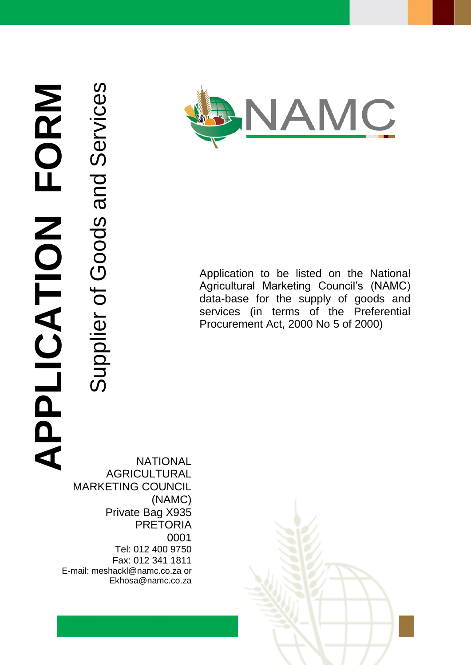**APPLICATION FORM** APLICATION FORM

Supplier of Goods and Services

Supplier of Goods and Services

**JAMC** 

Application to be listed on the National Agricultural Marketing Council's (NAMC) data-base for the supply of goods and services (in terms of the Preferential Procurement Act, 2000 No 5 of 2000)

**NATIONAL AGRICULTURAL** MARKETING COUNCIL (NAMC) Private Bag X935 PRETORIA 0001 Tel: 012 400 9750 Fax: 012 341 1811 E-mail: meshackl@namc.co.za or Ekhosa@namc.co.za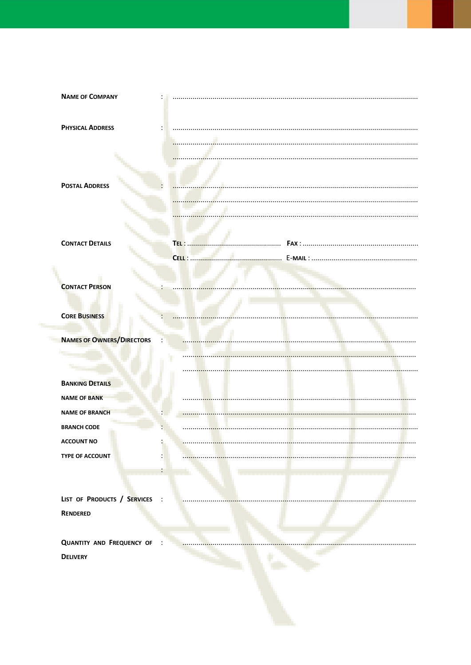| <b>NAME OF COMPANY</b>           |                |  |
|----------------------------------|----------------|--|
|                                  |                |  |
| <b>PHYSICAL ADDRESS</b>          |                |  |
|                                  |                |  |
|                                  |                |  |
|                                  |                |  |
|                                  |                |  |
| <b>POSTAL ADDRESS</b>            |                |  |
|                                  |                |  |
|                                  |                |  |
|                                  |                |  |
| <b>CONTACT DETAILS</b>           | TEL :          |  |
|                                  | <b>CELL : </b> |  |
|                                  |                |  |
| <b>CONTACT PERSON</b>            |                |  |
|                                  |                |  |
|                                  |                |  |
| <b>CORE BUSINESS</b>             |                |  |
| <b>NAMES OF OWNERS/DIRECTORS</b> |                |  |
|                                  |                |  |
|                                  |                |  |
| <b>BANKING DETAILS</b>           |                |  |
|                                  |                |  |
| <b>NAME OF BANK</b>              |                |  |
| <b>NAME OF BRANCH</b>            |                |  |
| <b>BRANCH CODE</b>               |                |  |
| <b>ACCOUNT NO</b>                |                |  |
| TYPE OF ACCOUNT                  |                |  |
|                                  |                |  |
|                                  |                |  |
| LIST OF PRODUCTS / SERVICES      |                |  |
| <b>RENDERED</b>                  |                |  |
|                                  |                |  |
| <b>QUANTITY AND FREQUENCY OF</b> |                |  |
| <b>DELIVERY</b>                  |                |  |
|                                  |                |  |
|                                  |                |  |
|                                  |                |  |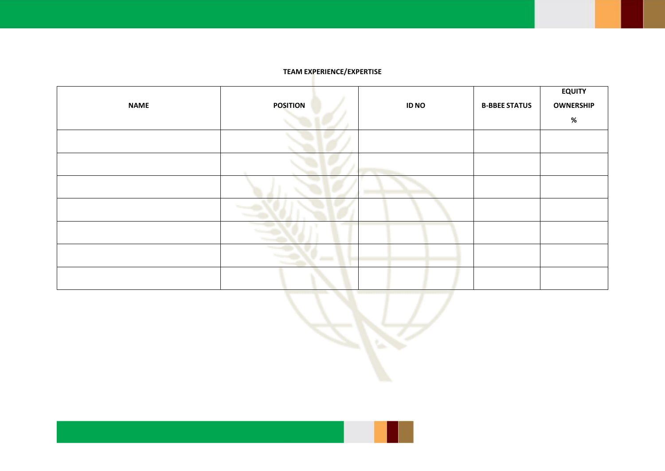## **TEAM EXPERIENCE/EXPERTISE**

| <b>NAME</b> | <b>POSITION</b> | <b>ID NO</b> | <b>B-BBEE STATUS</b> | <b>EQUITY</b><br><b>OWNERSHIP</b> |
|-------------|-----------------|--------------|----------------------|-----------------------------------|
|             |                 |              |                      | $\%$                              |
|             |                 |              |                      |                                   |
|             |                 |              |                      |                                   |
|             |                 |              |                      |                                   |
|             |                 |              |                      |                                   |
|             |                 |              |                      |                                   |
|             | arv —           |              |                      |                                   |
|             |                 |              |                      |                                   |

æ.